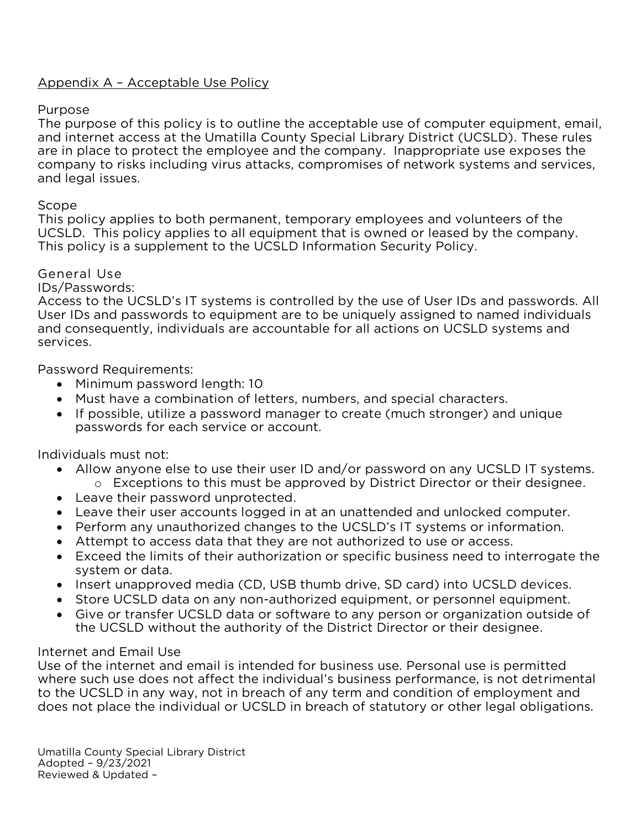## Appendix A – Acceptable Use Policy

Purpose<br>The purpose of this policy is to outline the acceptable use of computer equipment, email, and internet access at the Umatilla County Special Library District (UCSLD). These rules are in place to protect the employee and the company. Inappropriate use exposes the company to risks including virus attacks, compromises of network systems and services, and legal issues. and legal issues.

Scope<br>This policy applies to both permanent, temporary employees and volunteers of the UCSLD. This policy applies to all equipment that is owned or leased by the company. This policy is a supplement to the UCSLD Information Security Policy. This policy is a supplement to the UCSLD Information Security Policy.

### General Use

IDs/Passwords:

Access to the UCSLD's IT systems is controlled by the use of User IDs and passwords. All User IDs and passwords to equipment are to be uniquely assigned to named individuals and consequently, individuals are accountable for all actions on UCSLD systems and and consequently, individuals are accountable for all actions on UCSLD systems and services.

Password Requirements:

- Minimum password length: 10<br>• Must have a combination of le
	- Must have a combination of letters, numbers, and special characters.
	- If possible, utilize a password manager to create (much stronger) and unique passwords for each service or account.

- Allow anyone else to use their user ID and/or password on any UCSLD IT systems.<br>• Exceptions to this must be approved by District Director or their designee. <sup>o</sup> Exceptions to this must be approved by District Director or their designee.
	- Leave their password unprotected.
	- Leave their user accounts logged in at an unattended and unlocked computer.
	- Perform any unauthorized changes to the UCSLD's IT systems or information.
	- Attempt to access data that they are not authorized to use or access.
	- Exceed the limits of their authorization or specific business need to interrogate the
	- Insert unapproved media (CD, USB thumb drive, SD card) into UCSLD devices.<br>• Store UCSLD data on any non-authorized equipment, or nersonnel equipment
	- Store UCSLD data on any non-authorized equipment, or personnel equipment.<br>• Give or transfer UCSLD data or software to any person or organization outside
	- Give or transfer UCSLD data or software to any person or organization outside of the UCSLD without the authority of the District Director or their designee. the UCSLD without the authority of the District Director or their designee.

Internet and Email Use<br>Use of the internet and email is intended for business use. Personal use is permitted where such use does not affect the individual's business performance, is not detrimental to the UCSLD in any way, not in breach of any term and condition of employment and does not place the individual or UCSLD in breach of statutory or other legal obligations. does not place the individual or UCSLD in breach of statutory or other legal obligations.

Umatilla County Special Library District<br>Adopted - 9/23/2021 Adopted 2, 23, 232<br>Reviewed & Undated Reviewed & Updated –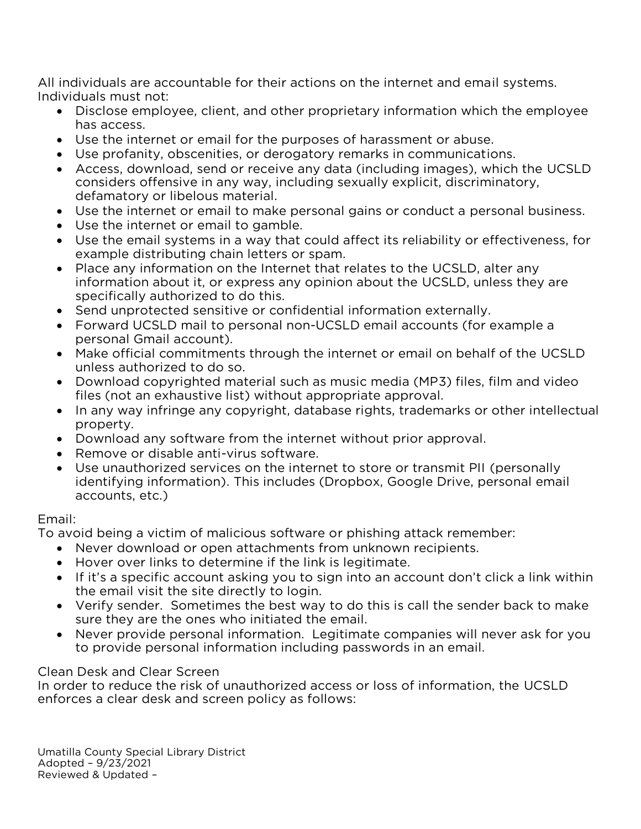All individuals are accountable for their actions on the internet and email systems.<br>Individuals must not:

- Disclose employee, client, and other proprietary information which the employee has access
	- Use the internet or email for the purposes of harassment or abuse.<br>• Use profanity, obscenities, or derogatory remarks in communication
	- Use profanity, obscenities, or derogatory remarks in communications.
	- Access, download, send or receive any data (including images), which the UCSLD considers offensive in any way, including sexually explicit, discriminatory, defamatory or libelous material.
	- Use the internet or email to make personal gains or conduct a personal business.<br>• Use the internet or email to gamble
	- Use the internet or email to gamble.
	- Use the email systems in a way that could affect its reliability or effectiveness, for example distributing chain letters or spam.
	- Place any information on the Internet that relates to the UCSLD, alter any information about it, or express any opinion about the UCSI D, unless they information about it, or express any opinion about the UCSLD, unless they are
	- Send unprotected sensitive or confidential information externally.<br>• Forward UCSLD mail to personal non-UCSLD email accounts (for
	- Forward UCSLD mail to personal non-UCSLD email accounts (for example a
	- Make official commitments through the internet or email on behalf of the UCSLD<br>unless authorized to do so.
	- Download copyrighted material such as music media (MP3) files, film and video<br>files (not an exhaustive list) without appropriate approval.
	- In any way infringe any copyright, database rights, trademarks or other intellectual property.
	- Download any software from the internet without prior approval.<br>• Remove or disable anti-virus software
	- Remove or disable anti-virus software.<br>• Use unauthorized services on the interr
	- Use unauthorized services on the internet to store or transmit PII (personally identifying information). This includes (Dropbox, Google Drive, personal email accounts, etc.). accounts, etc.)

## Email:

To avoid being a victim of malicious software or phishing attack remember:

- Never download or open attachments from unknown recipients.<br>• Hover over links to determine if the link is legitimate
	- Hover over links to determine if the link is legitimate.
	- If it's a specific account asking you to sign into an account don't click a link within the email visit the site directly to login.
	- Verify sender. Sometimes the best way to do this is call the sender back to make<br>sure they are the ones who initiated the email.
	- Never provide personal information. Legitimate companies will never ask for you to provide personal information including passwords in an email. to provide personal information including passwords in an email.

# Clean Desk and Clear Screen

In order to reduce the risk of unauthorized access or loss of information, the UCSLD enforces a clear desk and screen policy as follows: enforces a clear desk and screen policy as follows:

Umatilla County Special Library District<br>Adopted - 9/23/2021 Reviewed & Updated -Reviewed & Updated –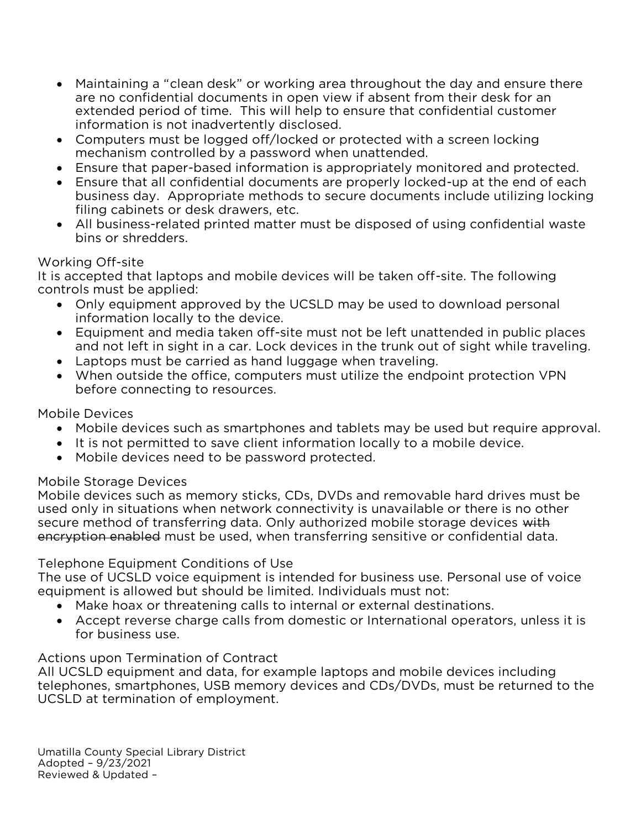- Maintaining a "clean desk" or working area throughout the day and ensure there are no confidential documents in open view if absent from their desk for an extended period of time. This will help to ensure that confidential customer information is not inadvertently disclosed.
- Computers must be logged off/locked or protected with a screen locking<br>mechanism controlled by a password when unattended.
- Ensure that paper-based information is appropriately monitored and protected.<br>• Ensure that all confidential documents are properly locked-un at the end of each
- Ensure that all confidential documents are properly locked-up at the end of each filing cabinets or desk drawers, etc.
- All business-related printed matter must be disposed of using confidential waste<br>hins or shredders bins or shredders.

# Working Off-site

It is accepted that laptops and mobile devices will be taken off-site. The following controls must be applied:

- Only equipment approved by the UCSLD may be used to download personal information locally to the device.
	- Equipment and media taken off-site must not be left unattended in public places<br>and not left in sight in a car. Lock devices in the trunk out of sight while traveling.
	- Laptops must be carried as hand luggage when traveling.<br>• When outside the office computers must utilize the endpoint protection VPN
	- When outside the office, computers must utilize the endpoint protection VPN before connecting to resources. before connecting to resources.

# Mobile Devices

- Mobile devices such as smartphones and tablets may be used but require approval.<br>• It is not permitted to save client information locally to a mobile device
	- It is not permitted to save client information locally to a mobile device.
	- Mobile devices need to be password protected.

## Mobile Storage Devices

Mobile devices such as memory sticks, CDs, DVDs and removable hard drives must be used only in situations when network connectivity is unavailable or there is no other secure method of transferring data. Only authorized mobile storage devices with encryption enabled must be used, when transferring sensitive or confidential data. encryption enabled must be used, when transferring sensitive or confidential data.

Telephone Equipment Conditions of Use<br>The use of UCSLD voice equipment is intended for business use. Personal use of voice equipment is allowed but should be limited. Individuals must not:

- Make hoax or threatening calls to internal or external destinations.<br>• Accent reverse charge calls from domestic or International operat
	- Accept reverse charge calls from domestic or International operators, unless it is for business use.

Actions upon Termination of Contract<br>All UCSLD equipment and data, for example laptops and mobile devices including telephones, smartphones, USB memory devices and CDs/DVDs, must be returned to the  $\frac{1}{2}$  memory dependence of  $\frac{1}{2}$  memory devices and  $\frac{1}{2}$  memory dependence of  $\frac{1}{2}$  must be returned to the returned to the returned to the returned to the returned to the returned to the returned to the UCSLD at termination of employment.

Umatilla County Special Library District<br>Adopted - 9/23/2021 Reviewed & Updated -Reviewed & Updated –